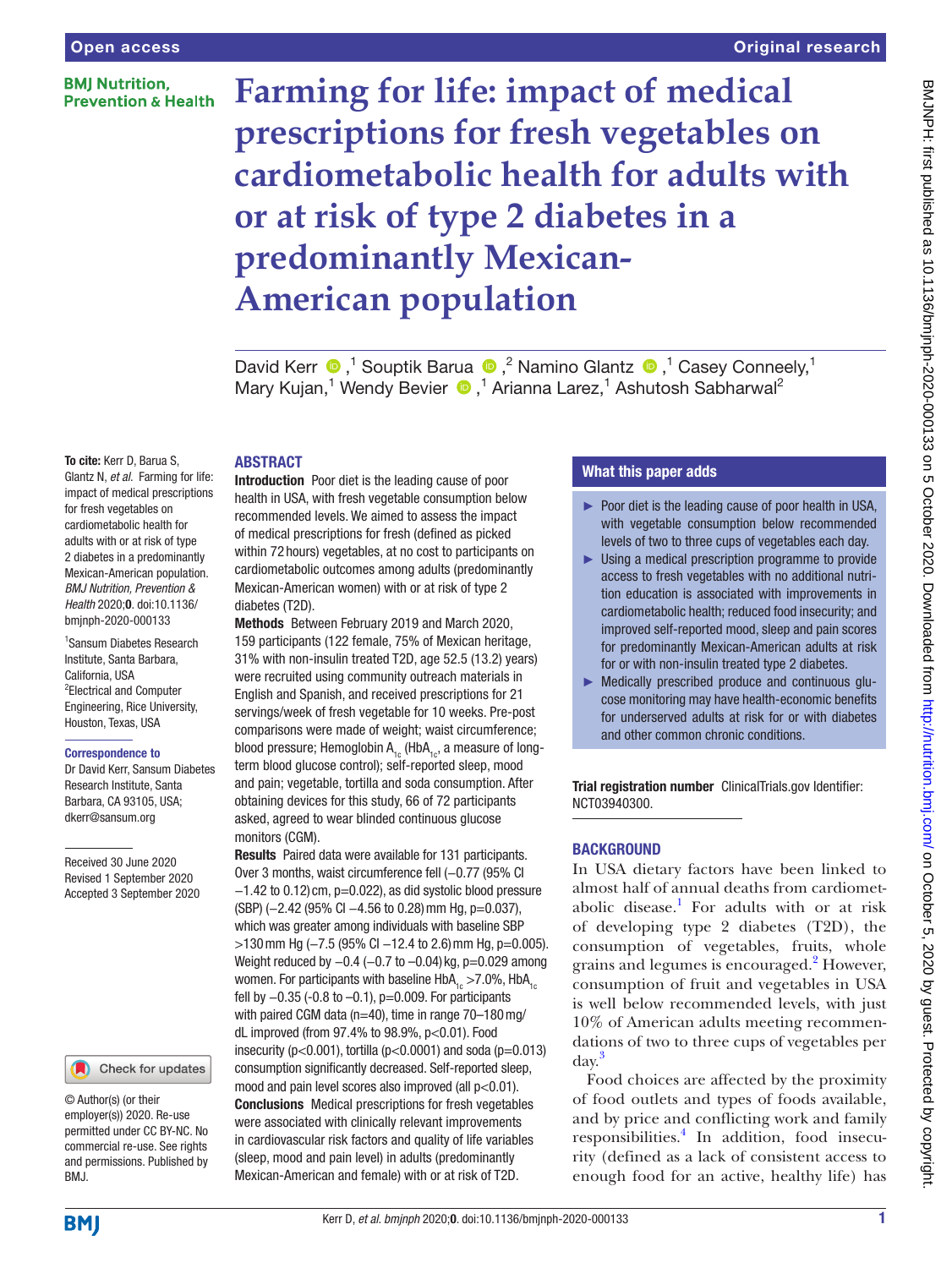**BMI Nutrition. Prevention & Health** 

### Original research

# **Farming for life: impact of medical prescriptions for fresh vegetables on cardiometabolic health for adults with or at risk of type 2 diabetes in a predominantly Mexican-American population**

DavidKerr  $\bullet$ ,<sup>1</sup> Souptik Barua  $\bullet$ ,<sup>2</sup> Namino Glantz  $\bullet$ ,<sup>1</sup> Casey Conneely,<sup>1</sup> MaryKujan,<sup>1</sup> Wendy Bevier (D,<sup>1</sup> Arianna Larez,<sup>1</sup> Ashutosh Sabharwal<sup>2</sup>

## ABSTRACT

To cite: Kerr D, Barua S, Glantz N, *et al*. Farming for life: impact of medical prescriptions for fresh vegetables on cardiometabolic health for adults with or at risk of type 2 diabetes in a predominantly Mexican-American population. *BMJ Nutrition, Prevention & Health* 2020;0. doi:10.1136/ bmjnph-2020-000133

1 Sansum Diabetes Research Institute, Santa Barbara, California, USA <sup>2</sup>Electrical and Computer Engineering, Rice University, Houston, Texas, USA

#### Correspondence to

Dr David Kerr, Sansum Diabetes Research Institute, Santa Barbara, CA 93105, USA; dkerr@sansum.org

Received 30 June 2020 Revised 1 September 2020 Accepted 3 September 2020

#### Check for updates

© Author(s) (or their employer(s)) 2020. Re-use permitted under CC BY-NC. No commercial re-use. See rights and permissions. Published by BMJ.

Introduction Poor diet is the leading cause of poor health in USA, with fresh vegetable consumption below recommended levels. We aimed to assess the impact of medical prescriptions for fresh (defined as picked within 72 hours) vegetables, at no cost to participants on cardiometabolic outcomes among adults (predominantly Mexican-American women) with or at risk of type 2 diabetes (T2D).

Methods Between February 2019 and March 2020, 159 participants (122 female, 75% of Mexican heritage, 31% with non-insulin treated T2D, age 52.5 (13.2) years) were recruited using community outreach materials in English and Spanish, and received prescriptions for 21 servings/week of fresh vegetable for 10 weeks. Pre-post comparisons were made of weight; waist circumference; blood pressure; Hemoglobin  $A_{1c}$  (Hb $A_{1c}$ , a measure of longterm blood glucose control); self-reported sleep, mood and pain; vegetable, tortilla and soda consumption. After obtaining devices for this study, 66 of 72 participants asked, agreed to wear blinded continuous glucose monitors (CGM).

Results Paired data were available for 131 participants. Over 3 months, waist circumference fell (−0.77 (95% CI −1.42 to 0.12)cm, p=0.022), as did systolic blood pressure (SBP) (−2.42 (95% CI −4.56 to 0.28)mm Hg, p=0.037), which was greater among individuals with baseline SBP >130mm Hg (−7.5 (95% CI −12.4 to 2.6)mm Hg, p=0.005). Weight reduced by -0.4 (-0.7 to -0.04) kg, p=0.029 among women. For participants with baseline  $HbA_{1c} > 7.0\%$ ,  $HbA_{1c}$ fell by  $-0.35$  ( $-0.8$  to  $-0.1$ ), p=0.009. For participants with paired CGM data (n=40), time in range 70–180mg/ dL improved (from 97.4% to 98.9%, p<0.01). Food insecurity ( $p<0.001$ ), tortilla ( $p<0.0001$ ) and soda ( $p=0.013$ ) consumption significantly decreased. Self-reported sleep, mood and pain level scores also improved (all p<0.01). Conclusions Medical prescriptions for fresh vegetables were associated with clinically relevant improvements in cardiovascular risk factors and quality of life variables (sleep, mood and pain level) in adults (predominantly Mexican-American and female) with or at risk of T2D.

### What this paper adds

- ► Poor diet is the leading cause of poor health in USA, with vegetable consumption below recommended levels of two to three cups of vegetables each day.
- ► Using a medical prescription programme to provide access to fresh vegetables with no additional nutrition education is associated with improvements in cardiometabolic health; reduced food insecurity; and improved self-reported mood, sleep and pain scores for predominantly Mexican-American adults at risk for or with non-insulin treated type 2 diabetes.
- ► Medically prescribed produce and continuous glucose monitoring may have health-economic benefits for underserved adults at risk for or with diabetes and other common chronic conditions.

Trial registration number ClinicalTrials.gov Identifier: [NCT03940300.](NCT03940300)

### **BACKGROUND**

In USA dietary factors have been linked to almost half of annual deaths from cardiomet-abolic disease.<sup>[1](#page-7-0)</sup> For adults with or at risk of developing type 2 diabetes (T2D), the consumption of vegetables, fruits, whole grains and legumes is encouraged.<sup>[2](#page-7-1)</sup> However, consumption of fruit and vegetables in USA is well below recommended levels, with just 10% of American adults meeting recommendations of two to three cups of vegetables per day[.3](#page-7-2)

Food choices are affected by the proximity of food outlets and types of foods available, and by price and conflicting work and family responsibilities.[4](#page-7-3) In addition, food insecurity (defined as a lack of consistent access to enough food for an active, healthy life) has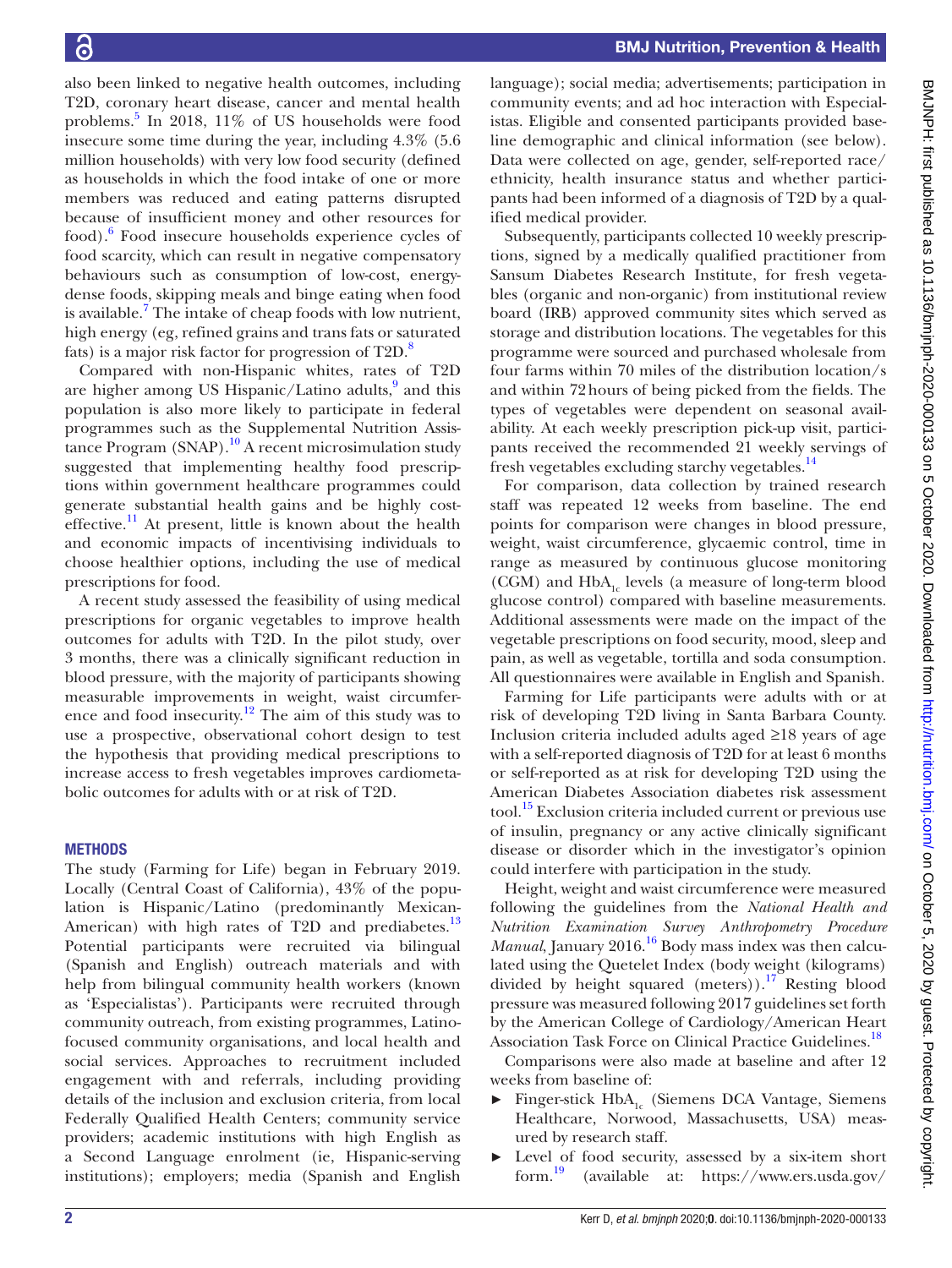also been linked to negative health outcomes, including T2D, coronary heart disease, cancer and mental health problems.<sup>5</sup> In 2018, 11% of US households were food insecure some time during the year, including 4.3% (5.6 million households) with very low food security (defined as households in which the food intake of one or more members was reduced and eating patterns disrupted because of insufficient money and other resources for food).<sup>[6](#page-7-5)</sup> Food insecure households experience cycles of food scarcity, which can result in negative compensatory behaviours such as consumption of low-cost, energydense foods, skipping meals and binge eating when food is available.<sup>[7](#page-7-6)</sup> The intake of cheap foods with low nutrient, high energy (eg, refined grains and trans fats or saturated fats) is a major risk factor for progression of T2D.<sup>8</sup>

Compared with non-Hispanic whites, rates of T2D are higher among US Hispanic/Latino adults,<sup>[9](#page-7-8)</sup> and this population is also more likely to participate in federal programmes such as the Supplemental Nutrition Assistance Program  $(SNAP)$ .<sup>10</sup> A recent microsimulation study suggested that implementing healthy food prescriptions within government healthcare programmes could generate substantial health gains and be highly cost-effective.<sup>[11](#page-7-10)</sup> At present, little is known about the health and economic impacts of incentivising individuals to choose healthier options, including the use of medical prescriptions for food.

A recent study assessed the feasibility of using medical prescriptions for organic vegetables to improve health outcomes for adults with T2D. In the pilot study, over 3 months, there was a clinically significant reduction in blood pressure, with the majority of participants showing measurable improvements in weight, waist circumference and food insecurity.<sup>12</sup> The aim of this study was to use a prospective, observational cohort design to test the hypothesis that providing medical prescriptions to increase access to fresh vegetables improves cardiometabolic outcomes for adults with or at risk of T2D.

# **METHODS**

The study (Farming for Life) began in February 2019. Locally (Central Coast of California), 43% of the population is Hispanic/Latino (predominantly Mexican-American) with high rates of T2D and prediabetes.<sup>[13](#page-7-12)</sup> Potential participants were recruited via bilingual (Spanish and English) outreach materials and with help from bilingual community health workers (known as 'Especialistas'). Participants were recruited through community outreach, from existing programmes, Latinofocused community organisations, and local health and social services. Approaches to recruitment included engagement with and referrals, including providing details of the inclusion and exclusion criteria, from local Federally Qualified Health Centers; community service providers; academic institutions with high English as a Second Language enrolment (ie, Hispanic-serving institutions); employers; media (Spanish and English

language); social media; advertisements; participation in community events; and ad hoc interaction with Especialistas. Eligible and consented participants provided baseline demographic and clinical information (see below). Data were collected on age, gender, self-reported race/ ethnicity, health insurance status and whether participants had been informed of a diagnosis of T2D by a qualified medical provider.

Subsequently, participants collected 10 weekly prescriptions, signed by a medically qualified practitioner from Sansum Diabetes Research Institute, for fresh vegetables (organic and non-organic) from institutional review board (IRB) approved community sites which served as storage and distribution locations. The vegetables for this programme were sourced and purchased wholesale from four farms within 70 miles of the distribution location/s and within 72hours of being picked from the fields. The types of vegetables were dependent on seasonal availability. At each weekly prescription pick-up visit, participants received the recommended 21 weekly servings of fresh vegetables excluding starchy vegetables.<sup>14</sup>

For comparison, data collection by trained research staff was repeated 12 weeks from baseline. The end points for comparison were changes in blood pressure, weight, waist circumference, glycaemic control, time in range as measured by continuous glucose monitoring (CGM) and HbA<sub>1c</sub> levels (a measure of long-term blood glucose control) compared with baseline measurements. Additional assessments were made on the impact of the vegetable prescriptions on food security, mood, sleep and pain, as well as vegetable, tortilla and soda consumption. All questionnaires were available in English and Spanish.

Farming for Life participants were adults with or at risk of developing T2D living in Santa Barbara County. Inclusion criteria included adults aged ≥18 years of age with a self-reported diagnosis of T2D for at least 6 months or self-reported as at risk for developing T2D using the American Diabetes Association diabetes risk assessment tool.[15](#page-7-14) Exclusion criteria included current or previous use of insulin, pregnancy or any active clinically significant disease or disorder which in the investigator's opinion could interfere with participation in the study.

Height, weight and waist circumference were measured following the guidelines from the *National Health and Nutrition Examination Survey Anthropometry Procedure Manual*, January 2016.<sup>16</sup> Body mass index was then calculated using the Quetelet Index (body weight (kilograms) divided by height squared (meters)).<sup>17</sup> Resting blood pressure was measured following 2017 guidelines set forth by the American College of Cardiology/American Heart Association Task Force on Clinical Practice Guidelines.<sup>[18](#page-7-17)</sup>

Comparisons were also made at baseline and after 12 weeks from baseline of:

- $\blacktriangleright$  Finger-stick HbA<sub>1c</sub> (Siemens DCA Vantage, Siemens Healthcare, Norwood, Massachusetts, USA) measured by research staff.
- ► Level of food security, assessed by a six-item short form[.19](#page-7-18) (available at: [https://www.ers.usda.gov/](https://www.ers.usda.gov/media/8279/ad2012.pdf)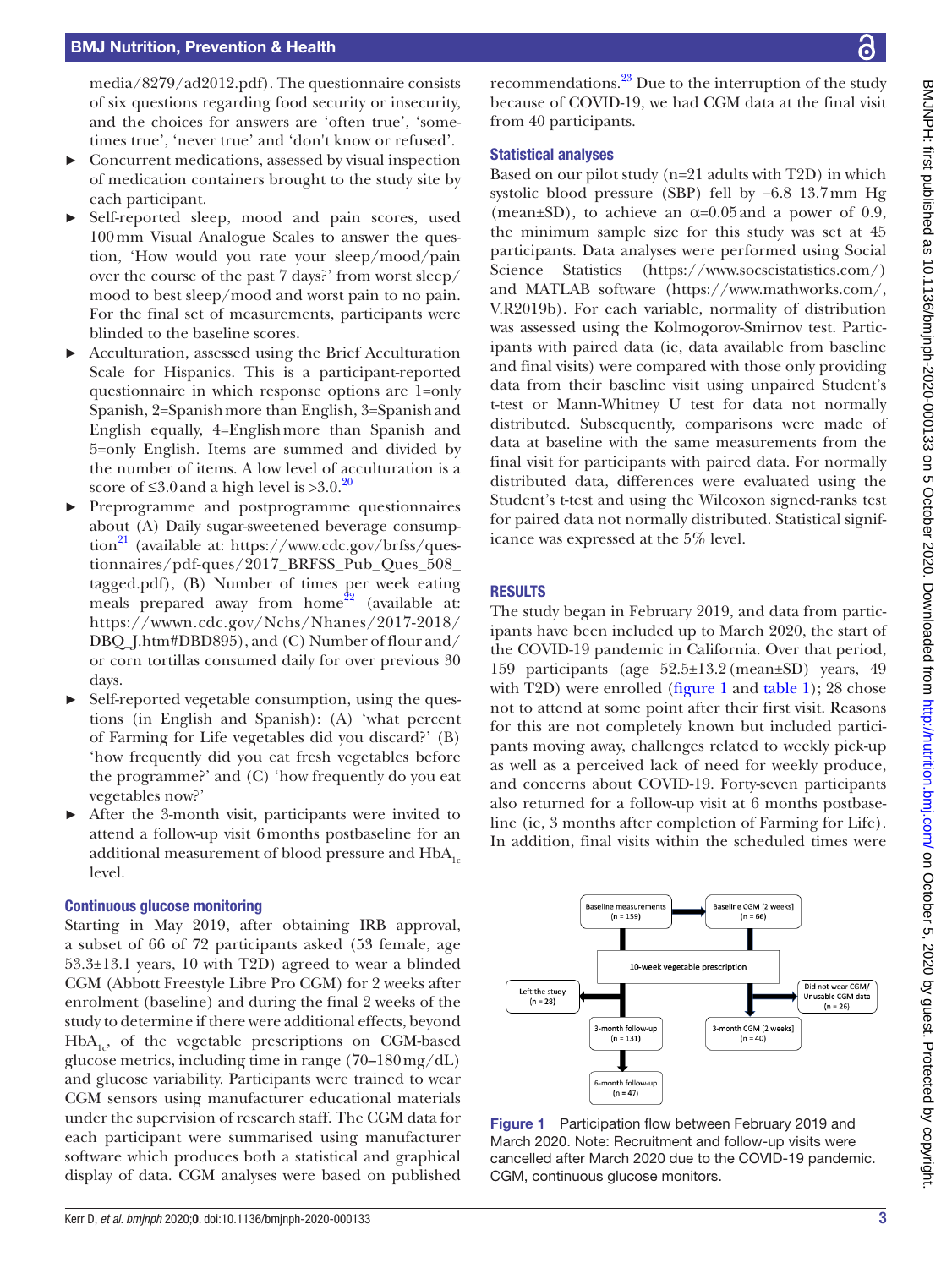[media/8279/ad2012.pdf](https://www.ers.usda.gov/media/8279/ad2012.pdf)). The questionnaire consists of six questions regarding food security or insecurity, and the choices for answers are 'often true', 'sometimes true', 'never true' and 'don't know or refused'.

- ► Concurrent medications, assessed by visual inspection of medication containers brought to the study site by each participant.
- Self-reported sleep, mood and pain scores, used 100mm Visual Analogue Scales to answer the question, 'How would you rate your sleep/mood/pain over the course of the past 7 days?' from worst sleep/ mood to best sleep/mood and worst pain to no pain. For the final set of measurements, participants were blinded to the baseline scores.
- Acculturation, assessed using the Brief Acculturation Scale for Hispanics. This is a participant-reported questionnaire in which response options are 1=only Spanish, 2=Spanishmore than English, 3=Spanishand English equally, 4=Englishmore than Spanish and 5=only English. Items are summed and divided by the number of items. A low level of acculturation is a score of  $\leq 3.0$  and a high level is  $>3.0$ .<sup>[20](#page-7-19)</sup>
- Preprogramme and postprogramme questionnaires about (A) Daily sugar-sweetened beverage consump-tion<sup>[21](#page-7-20)</sup> (available at: [https://www.cdc.gov/brfss/ques](https://www.cdc.gov/brfss/questionnaires/pdf-ques/2017_BRFSS_Pub_Ques_508_tagged.pdf)[tionnaires/pdf-ques/2017\\_BRFSS\\_Pub\\_Ques\\_508\\_](https://www.cdc.gov/brfss/questionnaires/pdf-ques/2017_BRFSS_Pub_Ques_508_tagged.pdf) [tagged.pdf\)](https://www.cdc.gov/brfss/questionnaires/pdf-ques/2017_BRFSS_Pub_Ques_508_tagged.pdf), (B) Number of times per week eating meals prepared away from home<sup>22</sup> (available at: [https://wwwn.cdc.gov/Nchs/Nhanes/2017-2018/](https://wwwn.cdc.gov/Nchs/Nhanes/2017-2018/DBQ_J.htm#DBD895) [DBQ\\_J.htm#DBD895\)](https://wwwn.cdc.gov/Nchs/Nhanes/2017-2018/DBQ_J.htm#DBD895), and (C) Number of flour and/ or corn tortillas consumed daily for over previous 30 days.
- Self-reported vegetable consumption, using the questions (in English and Spanish): (A) 'what percent of Farming for Life vegetables did you discard?' (B) 'how frequently did you eat fresh vegetables before the programme?' and (C) 'how frequently do you eat vegetables now?'
- After the 3-month visit, participants were invited to attend a follow-up visit 6months postbaseline for an additional measurement of blood pressure and  $HbA<sub>1c</sub>$ level.

# Continuous glucose monitoring

Starting in May 2019, after obtaining IRB approval, a subset of 66 of 72 participants asked (53 female, age 53.3±13.1 years, 10 with T2D) agreed to wear a blinded CGM (Abbott Freestyle Libre Pro CGM) for 2 weeks after enrolment (baseline) and during the final 2 weeks of the study to determine if there were additional effects, beyond  $HbA_{1c}$ , of the vegetable prescriptions on CGM-based glucose metrics, including time in range (70–180mg/dL) and glucose variability. Participants were trained to wear CGM sensors using manufacturer educational materials under the supervision of research staff. The CGM data for each participant were summarised using manufacturer software which produces both a statistical and graphical display of data. CGM analyses were based on published

recommendations.[23](#page-7-22) Due to the interruption of the study because of COVID-19, we had CGM data at the final visit from 40 participants.

# Statistical analyses

Based on our pilot study (n=21 adults with T2D) in which systolic blood pressure (SBP) fell by −6.8 13.7mm Hg (mean $\pm$ SD), to achieve an  $\alpha$ =0.05 and a power of 0.9, the minimum sample size for this study was set at 45 participants. Data analyses were performed using Social Science Statistics (<https://www.socscistatistics.com/>) and MATLAB software [\(https://www.mathworks.com/](https://www.mathworks.com/), V.R2019b). For each variable, normality of distribution was assessed using the Kolmogorov-Smirnov test. Participants with paired data (ie, data available from baseline and final visits) were compared with those only providing data from their baseline visit using unpaired Student's t-test or Mann-Whitney U test for data not normally distributed. Subsequently, comparisons were made of data at baseline with the same measurements from the final visit for participants with paired data. For normally distributed data, differences were evaluated using the Student's t-test and using the Wilcoxon signed-ranks test for paired data not normally distributed. Statistical significance was expressed at the 5% level.

# **RESULTS**

The study began in February 2019, and data from participants have been included up to March 2020, the start of the COVID-19 pandemic in California. Over that period, 159 participants (age 52.5±13.2(mean±SD) years, 49 with T2D) were enrolled ([figure](#page-2-0) 1 and [table](#page-3-0) 1); 28 chose not to attend at some point after their first visit. Reasons for this are not completely known but included participants moving away, challenges related to weekly pick-up as well as a perceived lack of need for weekly produce, and concerns about COVID-19. Forty-seven participants also returned for a follow-up visit at 6 months postbaseline (ie, 3 months after completion of Farming for Life). In addition, final visits within the scheduled times were



<span id="page-2-0"></span>Figure 1 Participation flow between February 2019 and March 2020. Note: Recruitment and follow-up visits were cancelled after March 2020 due to the COVID-19 pandemic. CGM, continuous glucose monitors.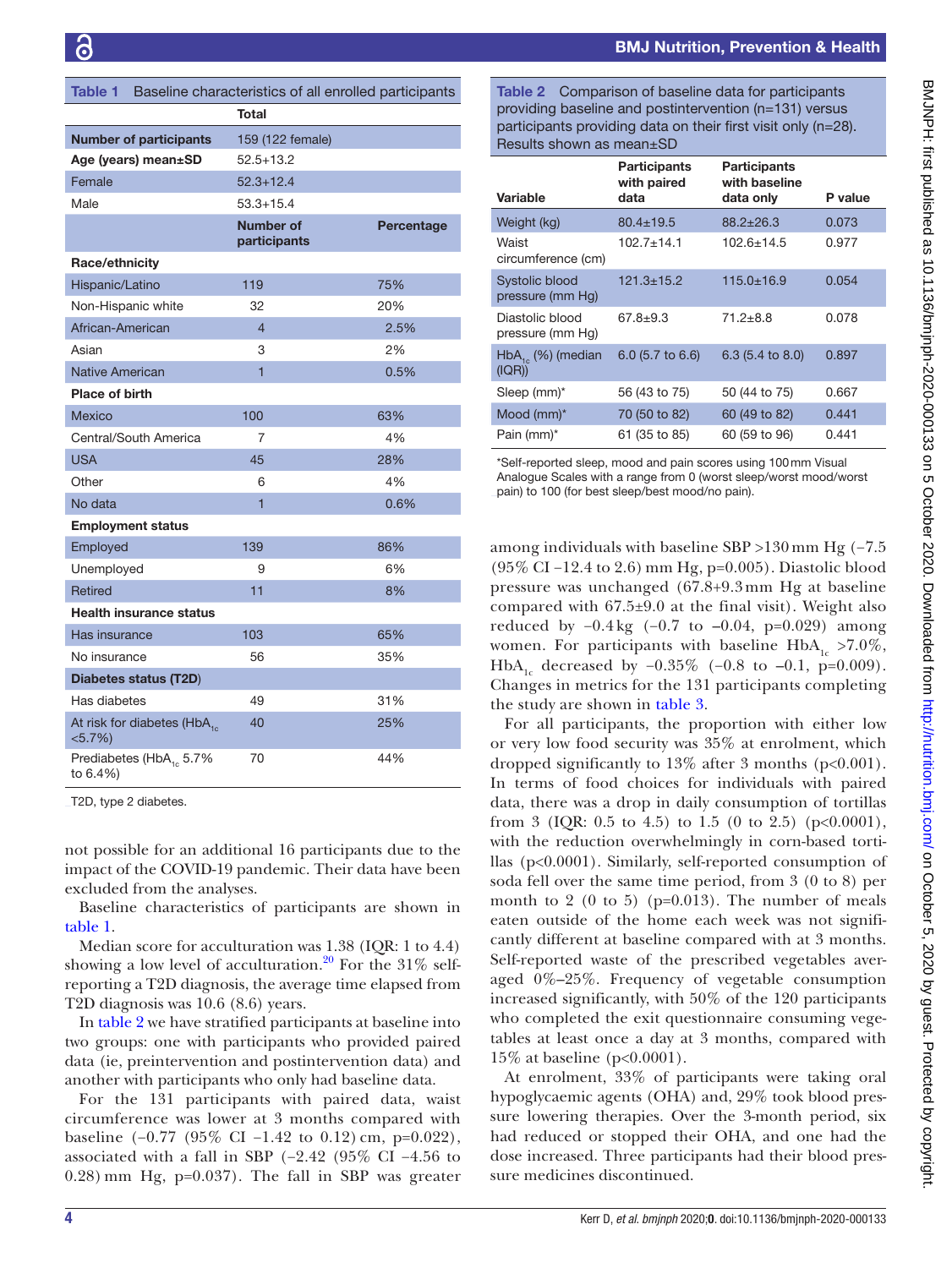<span id="page-3-0"></span>

| Table 1 Baseline characteristics of all enrolled participants |                                  |            |
|---------------------------------------------------------------|----------------------------------|------------|
|                                                               | Total                            |            |
| <b>Number of participants</b>                                 | 159 (122 female)                 |            |
| Age (years) mean±SD                                           | $52.5 + 13.2$                    |            |
| Female                                                        | $52.3 + 12.4$                    |            |
| Male                                                          | $53.3 + 15.4$                    |            |
|                                                               | <b>Number of</b><br>participants | Percentage |
| Race/ethnicity                                                |                                  |            |
| Hispanic/Latino                                               | 119                              | 75%        |
| Non-Hispanic white                                            | 32                               | 20%        |
| African-American                                              | $\overline{4}$                   | 2.5%       |
| Asian                                                         | 3                                | 2%         |
| Native American                                               | 1                                | 0.5%       |
| Place of birth                                                |                                  |            |
| Mexico                                                        | 100                              | 63%        |
| Central/South America                                         | 7                                | 4%         |
| <b>USA</b>                                                    | 45                               | 28%        |
| Other                                                         | 6                                | 4%         |
| No data                                                       | 1                                | 0.6%       |
| <b>Employment status</b>                                      |                                  |            |
| Employed                                                      | 139                              | 86%        |
| Unemployed                                                    | 9                                | 6%         |
| <b>Retired</b>                                                | 11                               | 8%         |
| <b>Health insurance status</b>                                |                                  |            |
| Has insurance                                                 | 103                              | 65%        |
| No insurance                                                  | 56                               | 35%        |
| Diabetes status (T2D)                                         |                                  |            |
| Has diabetes                                                  | 49                               | 31%        |
| At risk for diabetes (HbA <sub>16</sub> )<br>$< 5.7\%$ )      | 40                               | 25%        |
| Prediabetes (HbA <sub>1c</sub> 5.7%<br>to 6.4%)               | 70                               | 44%        |

T2D, type 2 diabetes.

not possible for an additional 16 participants due to the impact of the COVID-19 pandemic. Their data have been excluded from the analyses.

Baseline characteristics of participants are shown in [table](#page-3-0) 1.

Median score for acculturation was 1.38 (IQR: 1 to 4.4) showing a low level of acculturation.<sup>[20](#page-7-19)</sup> For the 31% selfreporting a T2D diagnosis, the average time elapsed from T2D diagnosis was 10.6 (8.6) years.

In [table](#page-3-1) 2 we have stratified participants at baseline into two groups: one with participants who provided paired data (ie, preintervention and postintervention data) and another with participants who only had baseline data.

For the 131 participants with paired data, waist circumference was lower at 3 months compared with baseline  $(-0.77 \ (95\% \ CI \ -1.42 \ to \ 0.12) \ cm, \ p=0.022)$ , associated with a fall in SBP (−2.42 (95% CI −4.56 to 0.28) mm Hg, p=0.037). The fall in SBP was greater

<span id="page-3-1"></span>Table 2 Comparison of baseline data for participants providing baseline and postintervention (n=131) versus participants providing data on their first visit only (n=28). Results shown as mean±SD

| Variable                            | <b>Participants</b><br>with paired<br>data | <b>Participants</b><br>with baseline<br>data only | P value |
|-------------------------------------|--------------------------------------------|---------------------------------------------------|---------|
| Weight (kg)                         | $80.4 \pm 19.5$                            | $88.2 \pm 26.3$                                   | 0.073   |
| Waist<br>circumference (cm)         | $102.7 + 14.1$                             | $102.6 \pm 14.5$                                  | 0.977   |
| Systolic blood<br>pressure (mm Hg)  | $121.3 \pm 15.2$                           | $115.0 \pm 16.9$                                  | 0.054   |
| Diastolic blood<br>pressure (mm Hg) | $67.8 + 9.3$                               | $71.2 + 8.8$                                      | 0.078   |
| $HbA_{10}$ (%) (median<br>(IQR))    | $6.0$ (5.7 to 6.6)                         | $6.3$ (5.4 to 8.0)                                | 0.897   |
| Sleep (mm)*                         | 56 (43 to 75)                              | 50 (44 to 75)                                     | 0.667   |
| Mood $(mm)^*$                       | 70 (50 to 82)                              | 60 (49 to 82)                                     | 0.441   |
| Pain (mm)*                          | 61 (35 to 85)                              | 60 (59 to 96)                                     | 0.441   |

\*Self-reported sleep, mood and pain scores using 100mm Visual Analogue Scales with a range from 0 (worst sleep/worst mood/worst pain) to 100 (for best sleep/best mood/no pain).

among individuals with baseline SBP >130 mm Hg (−7.5 (95% CI −12.4 to 2.6) mm Hg, p=0.005). Diastolic blood pressure was unchanged (67.8+9.3 mm Hg at baseline compared with 67.5±9.0 at the final visit). Weight also reduced by −0.4 kg (−0.7 to –0.04, p=0.029) among women. For participants with baseline  $HbA_{1c} > 7.0\%$ , HbA<sub>1c</sub> decreased by  $-0.35\%$  ( $-0.8$  to  $-0.1$ , p=0.009). Changes in metrics for the 131 participants completing the study are shown in [table](#page-4-0) 3.

For all participants, the proportion with either low or very low food security was 35% at enrolment, which dropped significantly to  $13\%$  after 3 months (p<0.001). In terms of food choices for individuals with paired data, there was a drop in daily consumption of tortillas from 3 (IQR: 0.5 to 4.5) to 1.5 (0 to 2.5) ( $p<0.0001$ ), with the reduction overwhelmingly in corn-based tortillas (p<0.0001). Similarly, self-reported consumption of soda fell over the same time period, from 3 (0 to 8) per month to 2 (0 to 5) ( $p=0.013$ ). The number of meals eaten outside of the home each week was not significantly different at baseline compared with at 3 months. Self-reported waste of the prescribed vegetables averaged 0%–25%. Frequency of vegetable consumption increased significantly, with 50% of the 120 participants who completed the exit questionnaire consuming vegetables at least once a day at 3 months, compared with 15% at baseline (p<0.0001).

At enrolment, 33% of participants were taking oral hypoglycaemic agents (OHA) and, 29% took blood pressure lowering therapies. Over the 3-month period, six had reduced or stopped their OHA, and one had the dose increased. Three participants had their blood pressure medicines discontinued.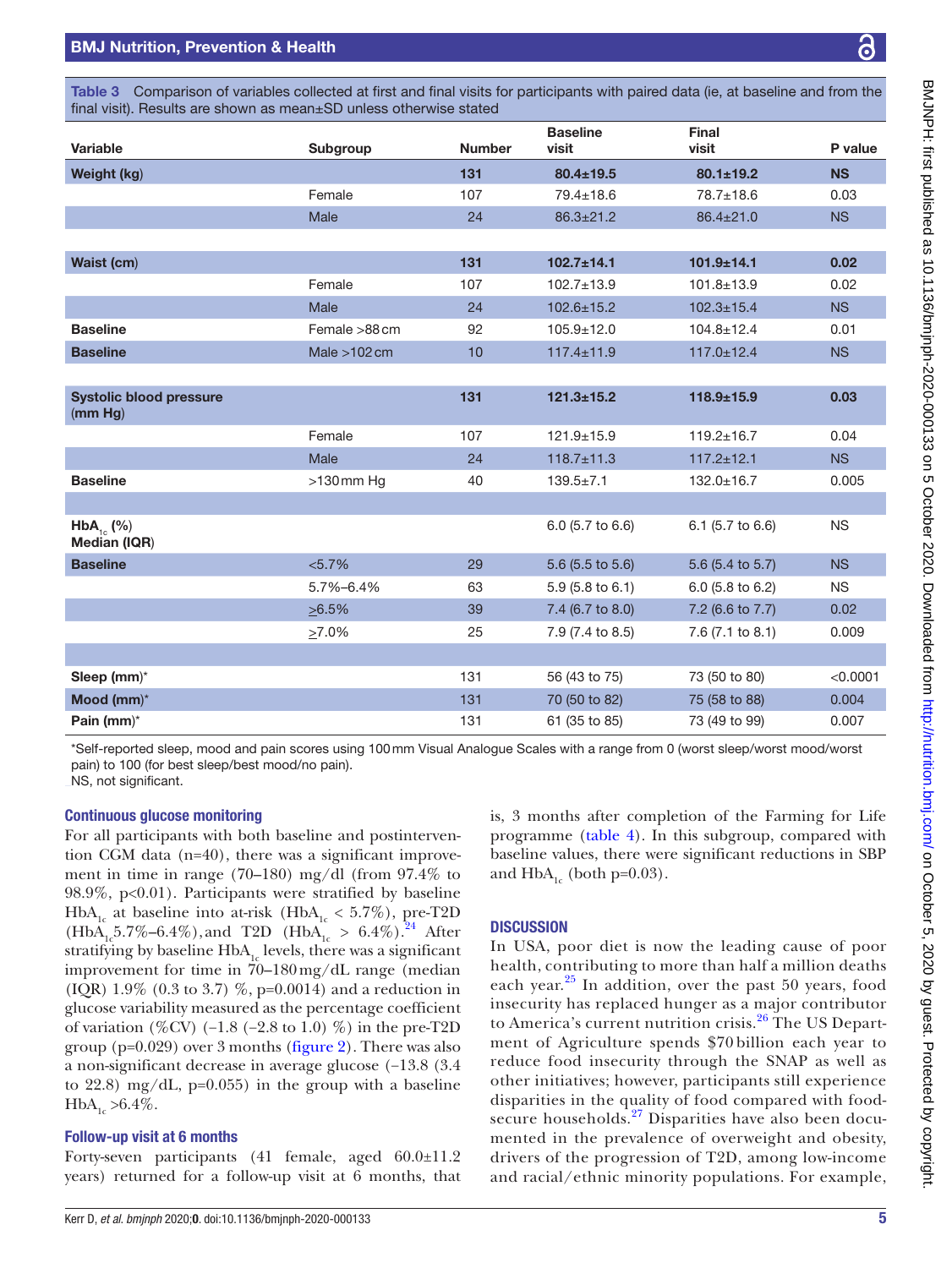<span id="page-4-0"></span>Table 3 Comparison of variables collected at first and final visits for participants with paired data (ie, at baseline and from the final visit). Results are shown as mean±SD unless otherwise stated

| Variable                                  | <b>Subgroup</b> | <b>Number</b> | <b>Baseline</b><br>visit   | <b>Final</b><br>visit | P value        |
|-------------------------------------------|-----------------|---------------|----------------------------|-----------------------|----------------|
| Weight (kg)                               |                 | 131           | $80.4 \pm 19.5$            | $80.1 \pm 19.2$       | <b>NS</b>      |
|                                           | Female          | 107           | $79.4 \pm 18.6$            | 78.7±18.6             | 0.03           |
|                                           | Male            | 24            | $86.3 \pm 21.2$            | $86.4 \pm 21.0$       | <b>NS</b>      |
|                                           |                 |               |                            |                       |                |
| Waist (cm)                                |                 | $131$         | $102.7 \pm 14.1$           | $101.9 + 14.1$        | 0.02           |
|                                           | Female          | 107           | $102.7 \pm 13.9$           | $101.8 \pm 13.9$      | 0.02           |
|                                           | Male            | 24            | $102.6 \pm 15.2$           | $102.3 \pm 15.4$      | <b>NS</b>      |
| <b>Baseline</b>                           | Female >88 cm   | 92            | $105.9 \pm 12.0$           | $104.8 \pm 12.4$      | 0.01           |
| <b>Baseline</b>                           | Male $>102$ cm  | 10            | $117.4 \pm 11.9$           | $117.0 \pm 12.4$      | <b>NS</b>      |
|                                           |                 |               |                            |                       |                |
| <b>Systolic blood pressure</b><br>(mm Hg) |                 | 131           | $121.3 \pm 15.2$           | $118.9 \pm 15.9$      | 0.03           |
|                                           | Female          | 107           | $121.9 \pm 15.9$           | $119.2 \pm 16.7$      | 0.04           |
|                                           | Male            | 24            | $118.7 \pm 11.3$           | $117.2 \pm 12.1$      | N <sub>S</sub> |
| <b>Baseline</b>                           | $>130$ mm Hq    | 40            | $139.5 \pm 7.1$            | $132.0 \pm 16.7$      | 0.005          |
|                                           |                 |               |                            |                       |                |
| $HbA_{1c}$ (%)<br><b>Median (IQR)</b>     |                 |               | 6.0 (5.7 to 6.6)           | 6.1 (5.7 to 6.6)      | <b>NS</b>      |
| <b>Baseline</b>                           | $< 5.7\%$       | 29            | $5.6$ (5.5 to 5.6)         | 5.6 (5.4 to 5.7)      | <b>NS</b>      |
|                                           | 5.7%-6.4%       | 63            | $5.9(5.8 \text{ to } 6.1)$ | $6.0$ (5.8 to 6.2)    | <b>NS</b>      |
|                                           | $\ge 6.5\%$     | 39            | 7.4 (6.7 to 8.0)           | 7.2 (6.6 to 7.7)      | 0.02           |
|                                           | $>7.0\%$        | 25            | 7.9 (7.4 to 8.5)           | 7.6 (7.1 to 8.1)      | 0.009          |
|                                           |                 |               |                            |                       |                |
| Sleep (mm)*                               |                 | 131           | 56 (43 to 75)              | 73 (50 to 80)         | < 0.0001       |
| Mood (mm)*                                |                 | 131           | 70 (50 to 82)              | 75 (58 to 88)         | 0.004          |
| Pain (mm)*                                |                 | 131           | 61 (35 to 85)              | 73 (49 to 99)         | 0.007          |

\*Self-reported sleep, mood and pain scores using 100mm Visual Analogue Scales with a range from 0 (worst sleep/worst mood/worst pain) to 100 (for best sleep/best mood/no pain).

NS, not significant.

### Continuous glucose monitoring

For all participants with both baseline and postintervention CGM data (n=40), there was a significant improvement in time in range (70–180) mg/dl (from 97.4% to 98.9%, p<0.01). Participants were stratified by baseline  $HbA<sub>1c</sub>$  at baseline into at-risk (HbA<sub>1c</sub> < 5.7%), pre-T2D  $(HbA<sub>1c</sub>5.7\% - 6.4\%)$ , and T2D  $(HbA<sub>1c</sub> > 6.4\%)$ . After stratifying by baseline  $HbA<sub>1c</sub>$  levels, there was a significant improvement for time in 70–180mg/dL range (median (IQR) 1.9% (0.3 to 3.7) %, p=0.0014) and a reduction in glucose variability measured as the percentage coefficient of variation (%CV) (−1.8 (−2.8 to 1.0) %) in the pre-T2D group (p=0.029) over 3 months ([figure](#page-5-0) 2). There was also a non-significant decrease in average glucose (−13.8 (3.4 to 22.8) mg/dL,  $p=0.055$  in the group with a baseline  $HbA_{1c} > 6.4\%.$ 

# Follow-up visit at 6 months

Forty-seven participants (41 female, aged 60.0±11.2 years) returned for a follow-up visit at 6 months, that is, 3 months after completion of the Farming for Life programme ([table](#page-5-1) 4). In this subgroup, compared with baseline values, there were significant reductions in SBP and  $HbA_{1c}$  (both p=0.03).

# **DISCUSSION**

In USA, poor diet is now the leading cause of poor health, contributing to more than half a million deaths each year. $25$  In addition, over the past 50 years, food insecurity has replaced hunger as a major contributor to America's current nutrition crisis.<sup>26</sup> The US Department of Agriculture spends \$70 billion each year to reduce food insecurity through the SNAP as well as other initiatives; however, participants still experience disparities in the quality of food compared with food-secure households.<sup>[27](#page-7-26)</sup> Disparities have also been documented in the prevalence of overweight and obesity, drivers of the progression of T2D, among low-income and racial/ethnic minority populations. For example,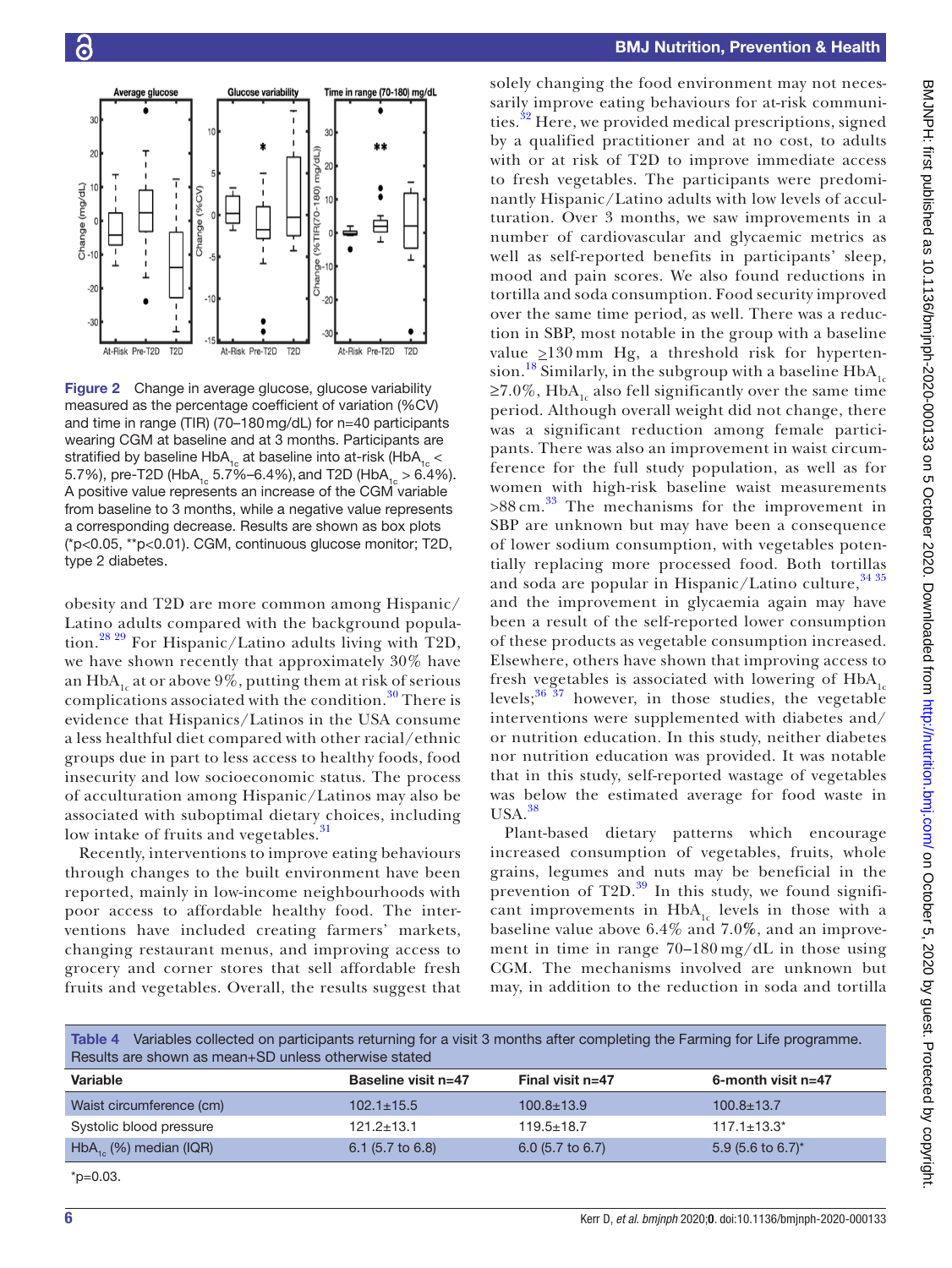

<span id="page-5-0"></span>Figure 2 Change in average glucose, glucose variability measured as the percentage coefficient of variation (%CV) and time in range (TIR) (70–180mg/dL) for n=40 participants wearing CGM at baseline and at 3 months. Participants are stratified by baseline HbA<sub>1c</sub> at baseline into at-risk (HbA<sub>1c</sub> < 5.7%), pre-T2D (HbA<sub>1c</sub> 5.7%–6.4%), and T2D (HbA<sub>1c</sub> > 6.4%). A positive value represents an increase of the CGM variable from baseline to 3 months, while a negative value represents a corresponding decrease. Results are shown as box plots (\*p<0.05, \*\*p<0.01). CGM, continuous glucose monitor; T2D, type 2 diabetes.

obesity and T2D are more common among Hispanic/ Latino adults compared with the background population.<sup>28 29</sup> For Hispanic/Latino adults living with T2D, we have shown recently that approximately 30% have an  $HbA_{1c}$  at or above 9%, putting them at risk of serious complications associated with the condition.<sup>[30](#page-7-28)</sup> There is evidence that Hispanics/Latinos in the USA consume a less healthful diet compared with other racial/ethnic groups due in part to less access to healthy foods, food insecurity and low socioeconomic status. The process of acculturation among Hispanic/Latinos may also be associated with suboptimal dietary choices, including low intake of fruits and vegetables.<sup>[31](#page-7-29)</sup>

Recently, interventions to improve eating behaviours through changes to the built environment have been reported, mainly in low-income neighbourhoods with poor access to affordable healthy food. The interventions have included creating farmers' markets, changing restaurant menus, and improving access to grocery and corner stores that sell affordable fresh fruits and vegetables. Overall, the results suggest that

solely changing the food environment may not necessarily improve eating behaviours for at-risk communities.<sup>32</sup> Here, we provided medical prescriptions, signed by a qualified practitioner and at no cost, to adults with or at risk of T2D to improve immediate access to fresh vegetables. The participants were predominantly Hispanic/Latino adults with low levels of acculturation. Over 3 months, we saw improvements in a number of cardiovascular and glycaemic metrics as well as self-reported benefits in participants' sleep, mood and pain scores. We also found reductions in tortilla and soda consumption. Food security improved over the same time period, as well. There was a reduction in SBP, most notable in the group with a baseline value  $\geq$ 130 mm Hg, a threshold risk for hyperten-sion.<sup>[18](#page-7-17)</sup> Similarly, in the subgroup with a baseline  $HbA_{1c}$  $\geq 7.0\%$ , HbA<sub>1s</sub> also fell significantly over the same time period. Although overall weight did not change, there was a significant reduction among female participants. There was also an improvement in waist circumference for the full study population, as well as for women with high-risk baseline waist measurements  $>88 \text{ cm.}^{33}$  The mechanisms for the improvement in SBP are unknown but may have been a consequence of lower sodium consumption, with vegetables potentially replacing more processed food. Both tortillas and soda are popular in Hispanic/Latino culture,  $3435$ and the improvement in glycaemia again may have been a result of the self-reported lower consumption of these products as vegetable consumption increased. Elsewhere, others have shown that improving access to fresh vegetables is associated with lowering of  $HbA_{1c}$ levels; $36 \frac{37}{7}$  however, in those studies, the vegetable interventions were supplemented with diabetes and/ or nutrition education. In this study, neither diabetes nor nutrition education was provided. It was notable that in this study, self-reported wastage of vegetables was below the estimated average for food waste in  $USA.<sup>38</sup>$  $USA.<sup>38</sup>$  $USA.<sup>38</sup>$ 

Plant-based dietary patterns which encourage increased consumption of vegetables, fruits, whole grains, legumes and nuts may be beneficial in the prevention of  $T2D<sup>39</sup>$  $T2D<sup>39</sup>$  $T2D<sup>39</sup>$  In this study, we found significant improvements in  $HbA_{1c}$  levels in those with a baseline value above 6.4% and 7.0**%**, and an improvement in time in range 70–180 mg/dL in those using CGM. The mechanisms involved are unknown but may, in addition to the reduction in soda and tortilla

<span id="page-5-1"></span>

| Variables collected on participants returning for a visit 3 months after completing the Farming for Life programme.<br>Table 4<br>Results are shown as mean+SD unless otherwise stated |                     |                    |                      |  |  |
|----------------------------------------------------------------------------------------------------------------------------------------------------------------------------------------|---------------------|--------------------|----------------------|--|--|
| Variable                                                                                                                                                                               | Baseline visit n=47 | Final visit $n=47$ | 6-month visit $n=47$ |  |  |
| Waist circumference (cm)                                                                                                                                                               | $102.1 \pm 15.5$    | $100.8 \pm 13.9$   | $100.8 \pm 13.7$     |  |  |
| Systolic blood pressure                                                                                                                                                                | $121.2 \pm 13.1$    | $119.5 \pm 18.7$   | $117.1 \pm 13.3^*$   |  |  |
| $HbA_{1}$ (%) median (IQR)                                                                                                                                                             | $6.1$ (5.7 to 6.8)  | $6.0$ (5.7 to 6.7) | 5.9 (5.6 to 6.7)*    |  |  |

 $*p=0.03$ .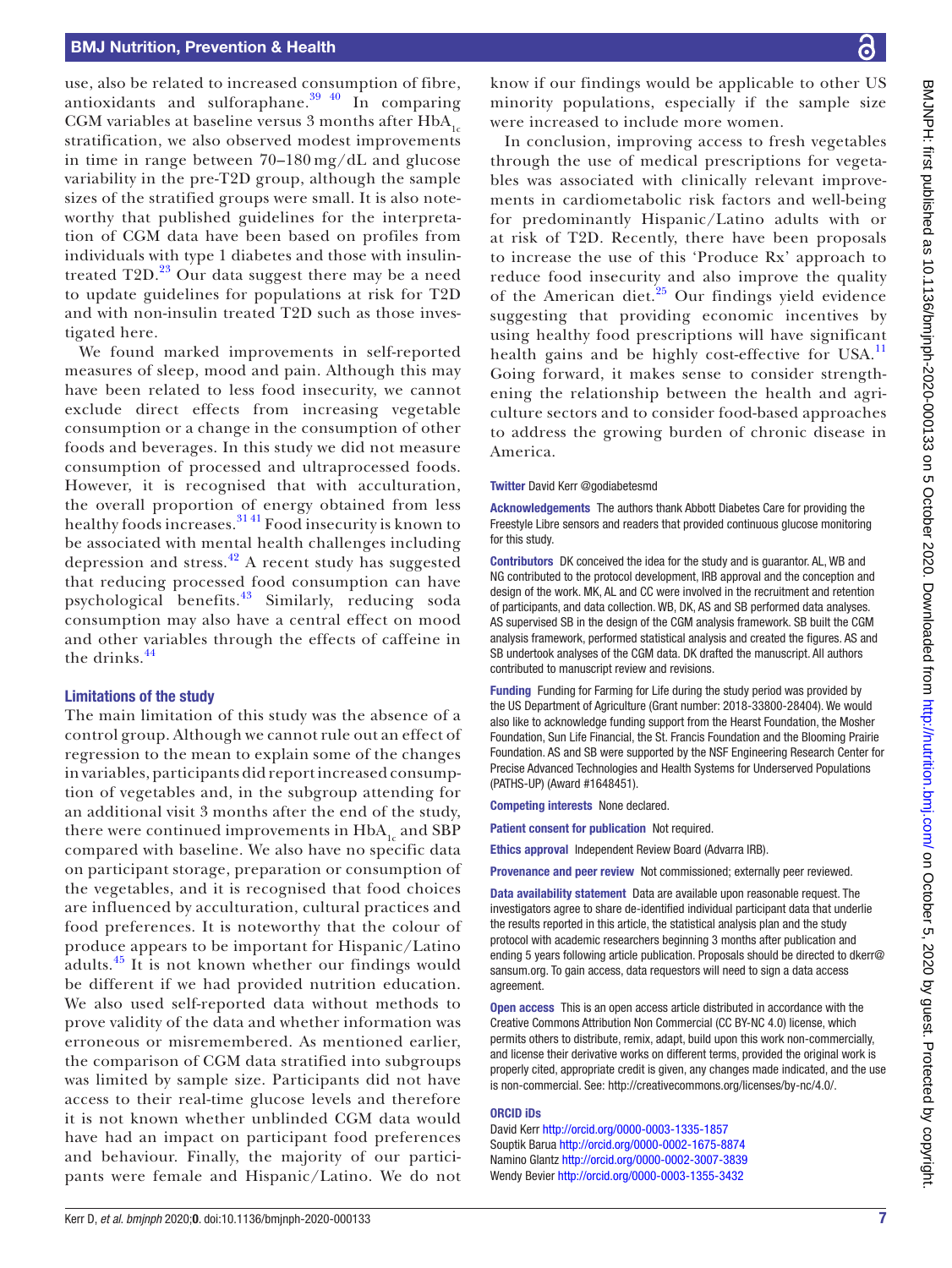use, also be related to increased consumption of fibre, antioxidants and sulforaphane.<sup>39</sup>  $40 \text{ In}$  comparing CGM variables at baseline versus 3 months after  $HbA_{1c}$ stratification, we also observed modest improvements in time in range between 70–180 mg/dL and glucose variability in the pre-T2D group, although the sample sizes of the stratified groups were small. It is also noteworthy that published guidelines for the interpretation of CGM data have been based on profiles from individuals with type 1 diabetes and those with insulintreated  $T2D.<sup>23</sup>$  Our data suggest there may be a need to update guidelines for populations at risk for T2D and with non-insulin treated T2D such as those investigated here.

We found marked improvements in self-reported measures of sleep, mood and pain. Although this may have been related to less food insecurity, we cannot exclude direct effects from increasing vegetable consumption or a change in the consumption of other foods and beverages. In this study we did not measure consumption of processed and ultraprocessed foods. However, it is recognised that with acculturation, the overall proportion of energy obtained from less healthy foods increases.[31 41](#page-7-29) Food insecurity is known to be associated with mental health challenges including depression and stress. $42$  A recent study has suggested that reducing processed food consumption can have psychological benefits.[43](#page-7-37) Similarly, reducing soda consumption may also have a central effect on mood and other variables through the effects of caffeine in the drinks.<sup>[44](#page-7-38)</sup>

#### Limitations of the study

The main limitation of this study was the absence of a control group. Although we cannot rule out an effect of regression to the mean to explain some of the changes in variables, participants did report increased consumption of vegetables and, in the subgroup attending for an additional visit 3 months after the end of the study, there were continued improvements in  $HbA<sub>1c</sub>$  and SBP compared with baseline. We also have no specific data on participant storage, preparation or consumption of the vegetables, and it is recognised that food choices are influenced by acculturation, cultural practices and food preferences. It is noteworthy that the colour of produce appears to be important for Hispanic/Latino adults.<sup>[45](#page-7-39)</sup> It is not known whether our findings would be different if we had provided nutrition education. We also used self-reported data without methods to prove validity of the data and whether information was erroneous or misremembered. As mentioned earlier, the comparison of CGM data stratified into subgroups was limited by sample size. Participants did not have access to their real-time glucose levels and therefore it is not known whether unblinded CGM data would have had an impact on participant food preferences and behaviour. Finally, the majority of our participants were female and Hispanic/Latino. We do not

know if our findings would be applicable to other US minority populations, especially if the sample size were increased to include more women.

In conclusion, improving access to fresh vegetables through the use of medical prescriptions for vegetables was associated with clinically relevant improvements in cardiometabolic risk factors and well-being for predominantly Hispanic/Latino adults with or at risk of T2D. Recently, there have been proposals to increase the use of this 'Produce Rx' approach to reduce food insecurity and also improve the quality of the American diet. $25$  Our findings yield evidence suggesting that providing economic incentives by using healthy food prescriptions will have significant health gains and be highly cost-effective for USA.<sup>[11](#page-7-10)</sup> Going forward, it makes sense to consider strengthening the relationship between the health and agriculture sectors and to consider food-based approaches to address the growing burden of chronic disease in America.

#### Twitter David Kerr [@godiabetesmd](https://twitter.com/godiabetesmd)

Acknowledgements The authors thank Abbott Diabetes Care for providing the Freestyle Libre sensors and readers that provided continuous glucose monitoring for this study.

Contributors DK conceived the idea for the study and is guarantor. AL, WB and NG contributed to the protocol development, IRB approval and the conception and design of the work. MK, AL and CC were involved in the recruitment and retention of participants, and data collection. WB, DK, AS and SB performed data analyses. AS supervised SB in the design of the CGM analysis framework. SB built the CGM analysis framework, performed statistical analysis and created the figures. AS and SB undertook analyses of the CGM data. DK drafted the manuscript. All authors contributed to manuscript review and revisions.

Funding Funding for Farming for Life during the study period was provided by the US Department of Agriculture (Grant number: 2018-33800-28404). We would also like to acknowledge funding support from the Hearst Foundation, the Mosher Foundation, Sun Life Financial, the St. Francis Foundation and the Blooming Prairie Foundation. AS and SB were supported by the NSF Engineering Research Center for Precise Advanced Technologies and Health Systems for Underserved Populations (PATHS-UP) (Award #1648451).

Competing interests None declared.

Patient consent for publication Not required.

Ethics approval Independent Review Board (Advarra IRB).

Provenance and peer review Not commissioned; externally peer reviewed.

Data availability statement Data are available upon reasonable request. The investigators agree to share de-identified individual participant data that underlie the results reported in this article, the statistical analysis plan and the study protocol with academic researchers beginning 3 months after publication and ending 5 years following article publication. Proposals should be directed to dkerr@ sansum.org. To gain access, data requestors will need to sign a data access agreement.

Open access This is an open access article distributed in accordance with the Creative Commons Attribution Non Commercial (CC BY-NC 4.0) license, which permits others to distribute, remix, adapt, build upon this work non-commercially, and license their derivative works on different terms, provided the original work is properly cited, appropriate credit is given, any changes made indicated, and the use is non-commercial. See: [http://creativecommons.org/licenses/by-nc/4.0/.](http://creativecommons.org/licenses/by-nc/4.0/)

#### ORCID iDs

David Kerr <http://orcid.org/0000-0003-1335-1857> Souptik Barua<http://orcid.org/0000-0002-1675-8874> Namino Glantz <http://orcid.org/0000-0002-3007-3839> Wendy Bevier<http://orcid.org/0000-0003-1355-3432>